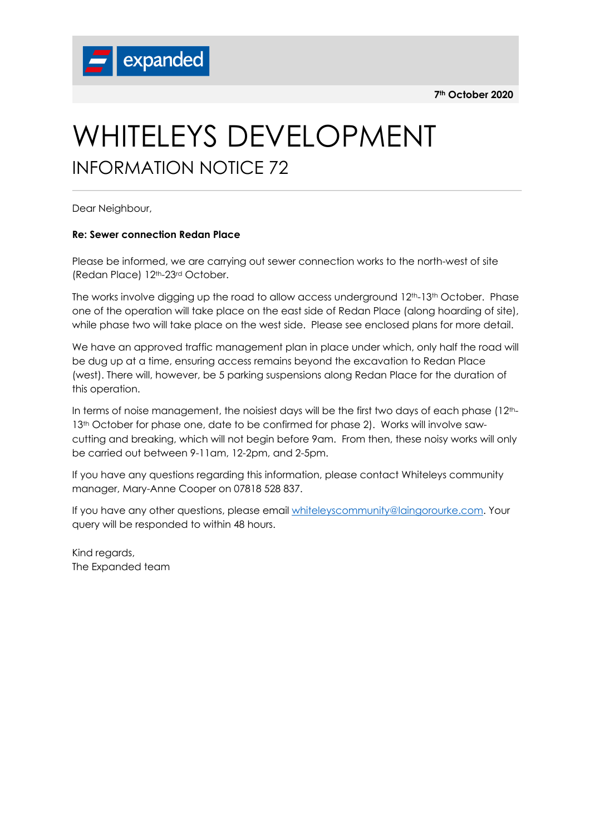**7th October 2020**



## WHITELEYS DEVELOPMENT INFORMATION NOTICE 72

Dear Neighbour,

## **Re: Sewer connection Redan Place**

Please be informed, we are carrying out sewer connection works to the north-west of site (Redan Place) 12th-23rd October.

The works involve digging up the road to allow access underground 12<sup>th</sup>-13<sup>th</sup> October. Phase one of the operation will take place on the east side of Redan Place (along hoarding of site), while phase two will take place on the west side. Please see enclosed plans for more detail.

We have an approved traffic management plan in place under which, only half the road will be dug up at a time, ensuring access remains beyond the excavation to Redan Place (west). There will, however, be 5 parking suspensions along Redan Place for the duration of this operation.

In terms of noise management, the noisiest days will be the first two days of each phase (12th-13<sup>th</sup> October for phase one, date to be confirmed for phase 2). Works will involve sawcutting and breaking, which will not begin before 9am. From then, these noisy works will only be carried out between 9-11am, 12-2pm, and 2-5pm.

If you have any questions regarding this information, please contact Whiteleys community manager, Mary-Anne Cooper on 07818 528 837.

If you have any other questions, please email whiteleyscommunity@laingorourke.com. Your query will be responded to within 48 hours.

Kind regards, The Expanded team